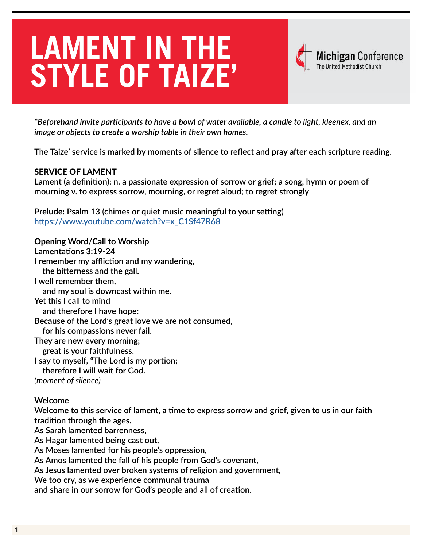# **LAMENT IN THE STYLE OF TAIZE'**



*\*Beforehand invite participants to have a bowl of water available, a candle to light, kleenex, and an image or objects to create a worship table in their own homes.*

**The Taize' service is marked by moments of silence to reflect and pray after each scripture reading.** 

### SERVICE OF LAMENT

**Lament (a definition): n. a passionate expression of sorrow or grief; a song, hymn or poem of mourning v. to express sorrow, mourning, or regret aloud; to regret strongly** 

**Prelude: Psalm 13 (chimes or quiet music meaningful to your setting) [https://www.youtube.com/watch?v=x\\_C1Sf47R68](https://www.youtube.com/watch?v=x_C1Sf47R68)**

**Opening Word/Call to Worship Lamentations 3:19-24 I remember my affliction and my wandering, the bitterness and the gall. I well remember them, and my soul is downcast within me. Yet this I call to mind and therefore I have hope: Because of the Lord's great love we are not consumed, for his compassions never fail. They are new every morning; great is your faithfulness. I say to myself, "The Lord is my portion; therefore I will wait for God.** *(moment of silence)*

#### **Welcome**

**Welcome to this service of lament, a time to express sorrow and grief, given to us in our faith tradition through the ages.**

**As Sarah lamented barrenness,**

**As Hagar lamented being cast out,**

**As Moses lamented for his people's oppression,**

**As Amos lamented the fall of his people from God's covenant,**

**As Jesus lamented over broken systems of religion and government,**

**We too cry, as we experience communal trauma**

**and share in our sorrow for God's people and all of creation.**